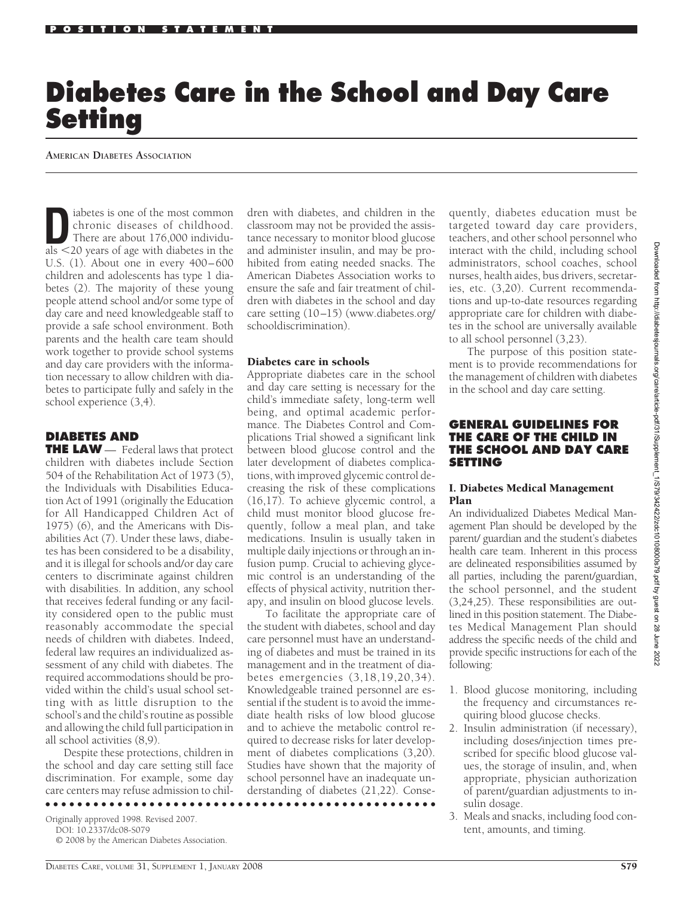# **Diabetes Care in the School and Day Care Setting**

**AMERICAN DIABETES ASSOCIATION**

abetes is one of the most common<br>
chronic diseases of childhood.<br>
There are about 176,000 individu-<br>
als <20 years of age with diabetes in the chronic diseases of childhood.  $\overline{\text{als}}$  <20 years of age with diabetes in the U.S. (1). About one in every 400–600 children and adolescents has type 1 diabetes (2). The majority of these young people attend school and/or some type of day care and need knowledgeable staff to provide a safe school environment. Both parents and the health care team should work together to provide school systems and day care providers with the information necessary to allow children with diabetes to participate fully and safely in the school experience (3,4).

# **DIABETES AND**

**THE LAW** — Federal laws that protect children with diabetes include Section 504 of the Rehabilitation Act of 1973 (5), the Individuals with Disabilities Education Act of 1991 (originally the Education for All Handicapped Children Act of 1975) (6), and the Americans with Disabilities Act (7). Under these laws, diabetes has been considered to be a disability, and it is illegal for schools and/or day care centers to discriminate against children with disabilities. In addition, any school that receives federal funding or any facility considered open to the public must reasonably accommodate the special needs of children with diabetes. Indeed, federal law requires an individualized assessment of any child with diabetes. The required accommodations should be provided within the child's usual school setting with as little disruption to the school's and the child's routine as possible and allowing the child full participation in all school activities (8,9).

Despite these protections, children in the school and day care setting still face discrimination. For example, some day care centers may refuse admission to chil-

●●●●●●●●●●●●●●●●●●●●●●●●●●●●●●●●●●●●●●●●●●●●●●●●● Originally approved 1998. Revised 2007.

DOI: 10.2337/dc08-S079

© 2008 by the American Diabetes Association.

dren with diabetes, and children in the classroom may not be provided the assistance necessary to monitor blood glucose and administer insulin, and may be prohibited from eating needed snacks. The American Diabetes Association works to ensure the safe and fair treatment of children with diabetes in the school and day care setting (10–15) (www.diabetes.org/ schooldiscrimination).

## Diabetes care in schools

Appropriate diabetes care in the school and day care setting is necessary for the child's immediate safety, long-term well being, and optimal academic performance. The Diabetes Control and Complications Trial showed a significant link between blood glucose control and the later development of diabetes complications, with improved glycemic control decreasing the risk of these complications (16,17). To achieve glycemic control, a child must monitor blood glucose frequently, follow a meal plan, and take medications. Insulin is usually taken in multiple daily injections or through an infusion pump. Crucial to achieving glycemic control is an understanding of the effects of physical activity, nutrition therapy, and insulin on blood glucose levels.

To facilitate the appropriate care of the student with diabetes, school and day care personnel must have an understanding of diabetes and must be trained in its management and in the treatment of diabetes emergencies (3,18,19,20,34). Knowledgeable trained personnel are essential if the student is to avoid the immediate health risks of low blood glucose and to achieve the metabolic control required to decrease risks for later development of diabetes complications (3,20). Studies have shown that the majority of school personnel have an inadequate understanding of diabetes (21,22). Consequently, diabetes education must be targeted toward day care providers, teachers, and other school personnel who interact with the child, including school administrators, school coaches, school nurses, health aides, bus drivers, secretaries, etc. (3,20). Current recommendations and up-to-date resources regarding appropriate care for children with diabetes in the school are universally available to all school personnel (3,23).

The purpose of this position statement is to provide recommendations for the management of children with diabetes in the school and day care setting.

## **GENERAL GUIDELINES FOR THE CARE OF THE CHILD IN THE SCHOOL AND DAY CARE SETTING**

#### I. Diabetes Medical Management Plan

An individualized Diabetes Medical Management Plan should be developed by the parent/ guardian and the student's diabetes health care team. Inherent in this process are delineated responsibilities assumed by all parties, including the parent/guardian, the school personnel, and the student (3,24,25). These responsibilities are outlined in this position statement. The Diabetes Medical Management Plan should address the specific needs of the child and provide specific instructions for each of the following:

- 1. Blood glucose monitoring, including the frequency and circumstances requiring blood glucose checks.
- 2. Insulin administration (if necessary), including doses/injection times prescribed for specific blood glucose values, the storage of insulin, and, when appropriate, physician authorization of parent/guardian adjustments to insulin dosage.
- 3. Meals and snacks, including food content, amounts, and timing.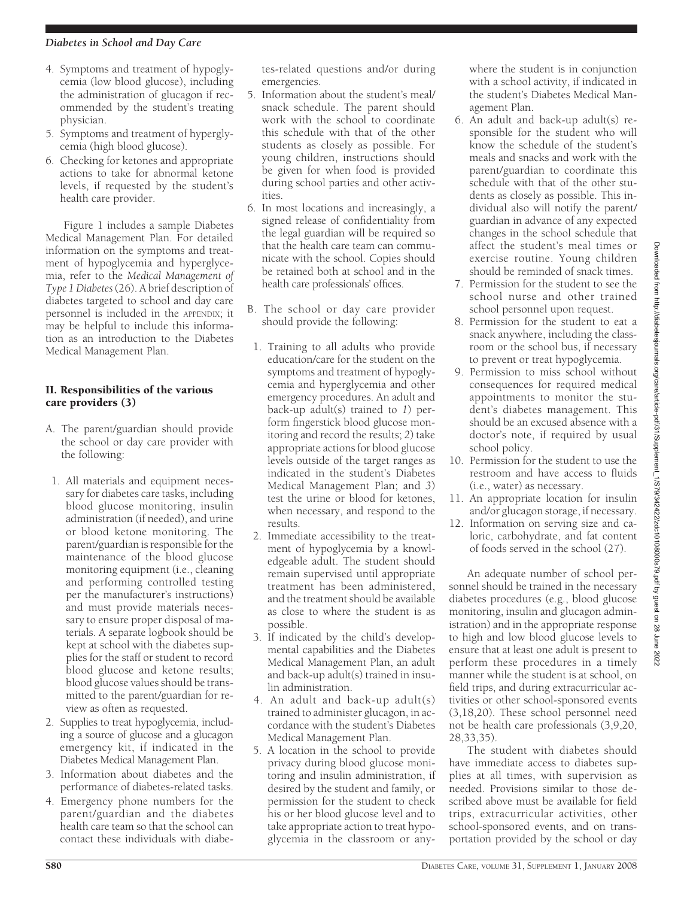- 4. Symptoms and treatment of hypoglycemia (low blood glucose), including the administration of glucagon if recommended by the student's treating physician.
- 5. Symptoms and treatment of hyperglycemia (high blood glucose).
- 6. Checking for ketones and appropriate actions to take for abnormal ketone levels, if requested by the student's health care provider.

Figure 1 includes a sample Diabetes Medical Management Plan. For detailed information on the symptoms and treatment of hypoglycemia and hyperglycemia, refer to the *Medical Management of Type 1 Diabetes*(26). A brief description of diabetes targeted to school and day care personnel is included in the APPENDIX; it may be helpful to include this information as an introduction to the Diabetes Medical Management Plan.

# II. Responsibilities of the various care providers (3)

- A. The parent/guardian should provide the school or day care provider with the following:
- 1. All materials and equipment necessary for diabetes care tasks, including blood glucose monitoring, insulin administration (if needed), and urine or blood ketone monitoring. The parent/guardian is responsible for the maintenance of the blood glucose monitoring equipment (i.e., cleaning and performing controlled testing per the manufacturer's instructions) and must provide materials necessary to ensure proper disposal of materials. A separate logbook should be kept at school with the diabetes supplies for the staff or student to record blood glucose and ketone results; blood glucose values should be transmitted to the parent/guardian for review as often as requested.
- 2. Supplies to treat hypoglycemia, including a source of glucose and a glucagon emergency kit, if indicated in the Diabetes Medical Management Plan.
- 3. Information about diabetes and the performance of diabetes-related tasks.
- 4. Emergency phone numbers for the parent/guardian and the diabetes health care team so that the school can contact these individuals with diabe-

tes-related questions and/or during emergencies.

- 5. Information about the student's meal/ snack schedule. The parent should work with the school to coordinate this schedule with that of the other students as closely as possible. For young children, instructions should be given for when food is provided during school parties and other activities.
- 6. In most locations and increasingly, a signed release of confidentiality from the legal guardian will be required so that the health care team can communicate with the school. Copies should be retained both at school and in the health care professionals' offices.
- B. The school or day care provider should provide the following:
- 1. Training to all adults who provide education/care for the student on the symptoms and treatment of hypoglycemia and hyperglycemia and other emergency procedures. An adult and back-up adult(s) trained to *1*) perform fingerstick blood glucose monitoring and record the results; *2*) take appropriate actions for blood glucose levels outside of the target ranges as indicated in the student's Diabetes Medical Management Plan; and *3*) test the urine or blood for ketones, when necessary, and respond to the results.
- 2. Immediate accessibility to the treatment of hypoglycemia by a knowledgeable adult. The student should remain supervised until appropriate treatment has been administered, and the treatment should be available as close to where the student is as possible.
- 3. If indicated by the child's developmental capabilities and the Diabetes Medical Management Plan, an adult and back-up adult(s) trained in insulin administration.
- 4. An adult and back-up adult(s) trained to administer glucagon, in accordance with the student's Diabetes Medical Management Plan.
- 5. A location in the school to provide privacy during blood glucose monitoring and insulin administration, if desired by the student and family, or permission for the student to check his or her blood glucose level and to take appropriate action to treat hypoglycemia in the classroom or any-

where the student is in conjunction with a school activity, if indicated in the student's Diabetes Medical Management Plan.

- 6. An adult and back-up adult(s) responsible for the student who will know the schedule of the student's meals and snacks and work with the parent/guardian to coordinate this schedule with that of the other students as closely as possible. This individual also will notify the parent/ guardian in advance of any expected changes in the school schedule that affect the student's meal times or exercise routine. Young children should be reminded of snack times.
- 7. Permission for the student to see the school nurse and other trained school personnel upon request.
- 8. Permission for the student to eat a snack anywhere, including the classroom or the school bus, if necessary to prevent or treat hypoglycemia.
- 9. Permission to miss school without consequences for required medical appointments to monitor the student's diabetes management. This should be an excused absence with a doctor's note, if required by usual school policy.
- 10. Permission for the student to use the restroom and have access to fluids (i.e., water) as necessary.
- 11. An appropriate location for insulin and/or glucagon storage, if necessary.
- 12. Information on serving size and caloric, carbohydrate, and fat content of foods served in the school (27).

An adequate number of school personnel should be trained in the necessary diabetes procedures (e.g., blood glucose monitoring, insulin and glucagon administration) and in the appropriate response to high and low blood glucose levels to ensure that at least one adult is present to perform these procedures in a timely manner while the student is at school, on field trips, and during extracurricular activities or other school-sponsored events (3,18,20). These school personnel need not be health care professionals (3,9,20, 28,33,35).

The student with diabetes should have immediate access to diabetes supplies at all times, with supervision as needed. Provisions similar to those described above must be available for field trips, extracurricular activities, other school-sponsored events, and on transportation provided by the school or day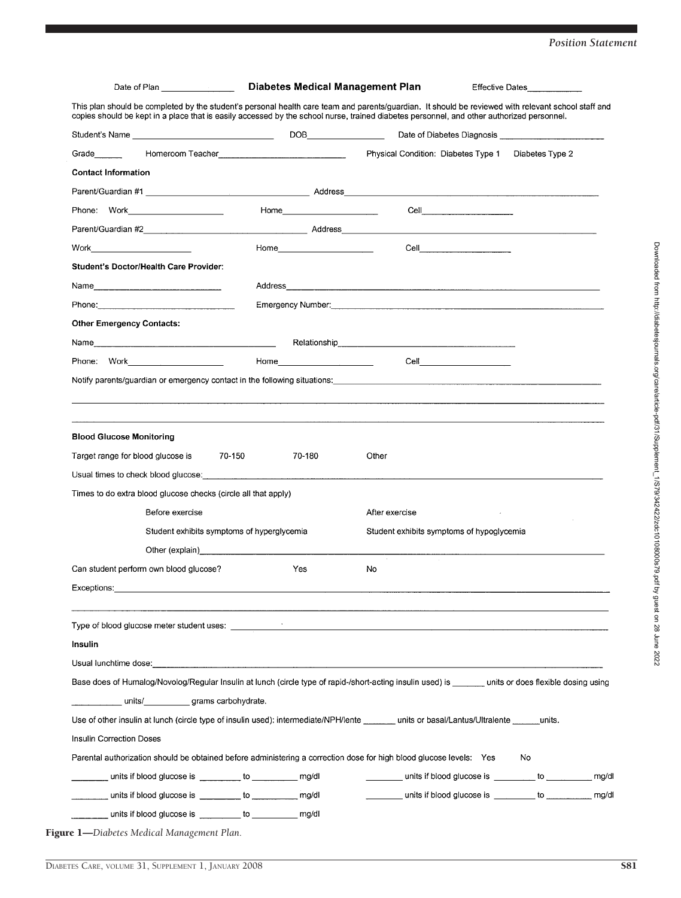# *Position Statement*

| copies should be kept in a place that is easily accessed by the school nurse, trained diabetes personnel, and other authorized personnel.                                                      | This plan should be completed by the student's personal health care team and parents/guardian. It should be reviewed with relevant school staff and                                                                                    |                                |                |                                           |                                                                                  |
|------------------------------------------------------------------------------------------------------------------------------------------------------------------------------------------------|----------------------------------------------------------------------------------------------------------------------------------------------------------------------------------------------------------------------------------------|--------------------------------|----------------|-------------------------------------------|----------------------------------------------------------------------------------|
|                                                                                                                                                                                                |                                                                                                                                                                                                                                        |                                |                |                                           | DOB________________________Date of Diabetes Diagnosis __________________________ |
| Grade                                                                                                                                                                                          |                                                                                                                                                                                                                                        |                                |                |                                           | Physical Condition: Diabetes Type 1 Diabetes Type 2                              |
| <b>Contact Information</b>                                                                                                                                                                     |                                                                                                                                                                                                                                        |                                |                |                                           |                                                                                  |
|                                                                                                                                                                                                |                                                                                                                                                                                                                                        |                                |                |                                           |                                                                                  |
| Phone: Work______________________                                                                                                                                                              |                                                                                                                                                                                                                                        | Home__________________________ |                |                                           |                                                                                  |
|                                                                                                                                                                                                |                                                                                                                                                                                                                                        |                                |                |                                           |                                                                                  |
|                                                                                                                                                                                                |                                                                                                                                                                                                                                        |                                |                | Cell <b>Cell Cell Cell</b>                |                                                                                  |
| Student's Doctor/Health Care Provider:                                                                                                                                                         |                                                                                                                                                                                                                                        |                                |                |                                           |                                                                                  |
| Name                                                                                                                                                                                           |                                                                                                                                                                                                                                        |                                |                |                                           |                                                                                  |
|                                                                                                                                                                                                |                                                                                                                                                                                                                                        |                                |                |                                           |                                                                                  |
| <b>Other Emergency Contacts:</b>                                                                                                                                                               |                                                                                                                                                                                                                                        |                                |                |                                           |                                                                                  |
|                                                                                                                                                                                                |                                                                                                                                                                                                                                        |                                |                |                                           |                                                                                  |
|                                                                                                                                                                                                |                                                                                                                                                                                                                                        |                                |                | Cell__________________________            |                                                                                  |
| Notify parents/quardian or emergency contact in the following situations: example and and are all the control of the control of the following situations:                                      |                                                                                                                                                                                                                                        |                                |                |                                           |                                                                                  |
|                                                                                                                                                                                                |                                                                                                                                                                                                                                        |                                |                |                                           |                                                                                  |
| <b>Blood Glucose Monitoring</b><br>Target range for blood glucose is 70-150<br>Usual times to check blood glucose: example and the state of the state of the state of the state of the state o |                                                                                                                                                                                                                                        | 70-180                         | Other          |                                           |                                                                                  |
| Times to do extra blood glucose checks (circle all that apply)                                                                                                                                 | Before exercise                                                                                                                                                                                                                        |                                | After exercise |                                           |                                                                                  |
|                                                                                                                                                                                                |                                                                                                                                                                                                                                        |                                |                |                                           |                                                                                  |
|                                                                                                                                                                                                | Student exhibits symptoms of hyperglycemia                                                                                                                                                                                             |                                |                | Student exhibits symptoms of hypoglycemia |                                                                                  |
| Can student perform own blood glucose?                                                                                                                                                         | Other (explain)<br><u>Discrete and the contract of the contract of the contract of the contract of the contract of the contract of the contract of the contract of the contract of the contract of the contract of the contract of</u> | Yes                            | No             |                                           |                                                                                  |
| Exceptions: the contract of the contract of the contract of the contract of the contract of the contract of the                                                                                |                                                                                                                                                                                                                                        |                                |                |                                           |                                                                                  |
|                                                                                                                                                                                                |                                                                                                                                                                                                                                        |                                |                |                                           |                                                                                  |
|                                                                                                                                                                                                |                                                                                                                                                                                                                                        |                                |                |                                           |                                                                                  |
| Insulin                                                                                                                                                                                        |                                                                                                                                                                                                                                        |                                |                |                                           |                                                                                  |
|                                                                                                                                                                                                |                                                                                                                                                                                                                                        |                                |                |                                           |                                                                                  |
| Base does of Humalog/Novolog/Regular Insulin at lunch (circle type of rapid-/short-acting insulin used) is units or does flexible dosing using                                                 |                                                                                                                                                                                                                                        |                                |                |                                           |                                                                                  |
| units/ grams carbohydrate.                                                                                                                                                                     |                                                                                                                                                                                                                                        |                                |                |                                           |                                                                                  |
| Use of other insulin at lunch (circle type of insulin used): intermediate/NPH/lente ________ units or basal/Lantus/Ultralente _______units.                                                    |                                                                                                                                                                                                                                        |                                |                |                                           |                                                                                  |
| <b>Insulin Correction Doses</b>                                                                                                                                                                |                                                                                                                                                                                                                                        |                                |                |                                           |                                                                                  |
| Parental authorization should be obtained before administering a correction dose for high blood glucose levels: Yes                                                                            |                                                                                                                                                                                                                                        |                                |                |                                           | No.                                                                              |
|                                                                                                                                                                                                |                                                                                                                                                                                                                                        |                                |                |                                           | _________ units if blood glucose is _________ to __________                      |
| _______ units if blood glucose is _________ to __________ mg/dl                                                                                                                                |                                                                                                                                                                                                                                        |                                |                |                                           | units if blood glucose is _________ to __________                                |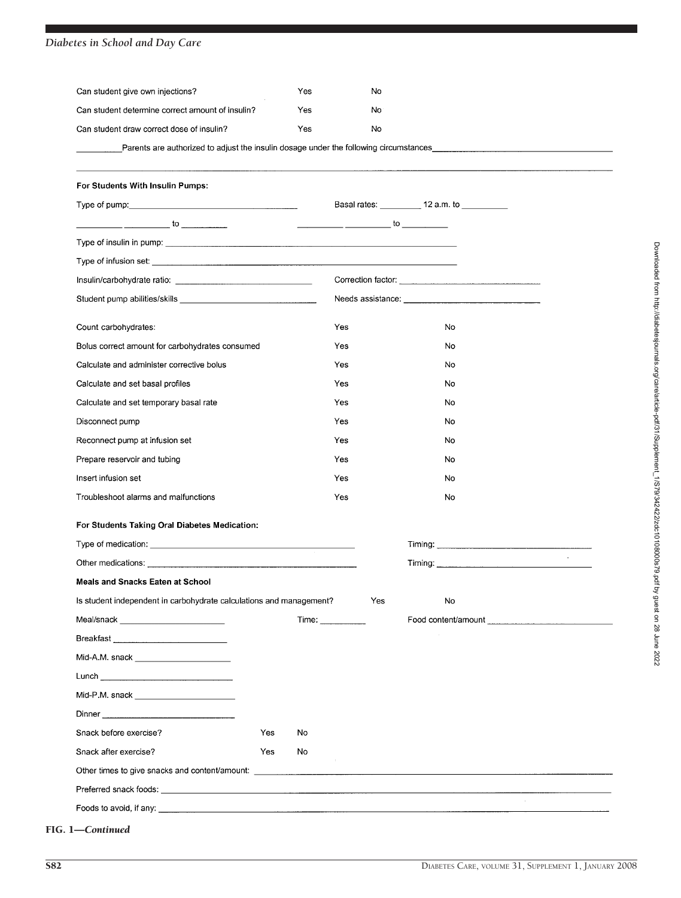| Can student give own injections?                                                                                                                                                                                              | Yes        | No                                                                                    |                                                                                                                                                                                                                                     |                                                           |
|-------------------------------------------------------------------------------------------------------------------------------------------------------------------------------------------------------------------------------|------------|---------------------------------------------------------------------------------------|-------------------------------------------------------------------------------------------------------------------------------------------------------------------------------------------------------------------------------------|-----------------------------------------------------------|
| Can student determine correct amount of insulin?                                                                                                                                                                              | Yes        | No                                                                                    |                                                                                                                                                                                                                                     |                                                           |
| Can student draw correct dose of insulin?                                                                                                                                                                                     | Yes        | No                                                                                    |                                                                                                                                                                                                                                     |                                                           |
| Parents are authorized to adjust the insulin dosage under the following circumstances expression and the state of the state of the state of the state of the state of the state of the state of the state of the state of the |            |                                                                                       |                                                                                                                                                                                                                                     |                                                           |
|                                                                                                                                                                                                                               |            |                                                                                       |                                                                                                                                                                                                                                     |                                                           |
| For Students With Insulin Pumps:                                                                                                                                                                                              |            |                                                                                       |                                                                                                                                                                                                                                     |                                                           |
|                                                                                                                                                                                                                               |            |                                                                                       | Basal rates: 12 a.m. to 12 a.m.                                                                                                                                                                                                     |                                                           |
|                                                                                                                                                                                                                               |            | $\frac{1}{\sqrt{1-\frac{1}{2}}}\frac{1}{\sqrt{1-\frac{1}{2}}}\cos{\frac{\pi \pi}{2}}$ |                                                                                                                                                                                                                                     |                                                           |
|                                                                                                                                                                                                                               |            |                                                                                       |                                                                                                                                                                                                                                     |                                                           |
|                                                                                                                                                                                                                               |            |                                                                                       |                                                                                                                                                                                                                                     |                                                           |
|                                                                                                                                                                                                                               |            |                                                                                       |                                                                                                                                                                                                                                     |                                                           |
|                                                                                                                                                                                                                               |            |                                                                                       |                                                                                                                                                                                                                                     |                                                           |
| Count carbohydrates:                                                                                                                                                                                                          |            | Yes                                                                                   | No                                                                                                                                                                                                                                  |                                                           |
| Bolus correct amount for carbohydrates consumed                                                                                                                                                                               |            | Yes                                                                                   | No                                                                                                                                                                                                                                  |                                                           |
| Calculate and administer corrective bolus                                                                                                                                                                                     |            | Yes                                                                                   | No                                                                                                                                                                                                                                  |                                                           |
| Calculate and set basal profiles                                                                                                                                                                                              |            | Yes                                                                                   | No                                                                                                                                                                                                                                  |                                                           |
| Calculate and set temporary basal rate                                                                                                                                                                                        |            | <b>Yes</b>                                                                            | No                                                                                                                                                                                                                                  |                                                           |
| Disconnect pump                                                                                                                                                                                                               |            | Yes                                                                                   | No                                                                                                                                                                                                                                  |                                                           |
| Reconnect pump at infusion set                                                                                                                                                                                                |            | Yes                                                                                   | No                                                                                                                                                                                                                                  |                                                           |
| Prepare reservoir and tubing                                                                                                                                                                                                  |            | Yes                                                                                   | No                                                                                                                                                                                                                                  |                                                           |
| Insert infusion set                                                                                                                                                                                                           |            | Yes                                                                                   | No                                                                                                                                                                                                                                  |                                                           |
| Troubleshoot alarms and malfunctions                                                                                                                                                                                          |            | Yes                                                                                   | No                                                                                                                                                                                                                                  |                                                           |
|                                                                                                                                                                                                                               |            |                                                                                       |                                                                                                                                                                                                                                     |                                                           |
| For Students Taking Oral Diabetes Medication:                                                                                                                                                                                 |            |                                                                                       |                                                                                                                                                                                                                                     |                                                           |
|                                                                                                                                                                                                                               |            | Timing: __________________________________                                            |                                                                                                                                                                                                                                     |                                                           |
|                                                                                                                                                                                                                               |            |                                                                                       | <b>Timing:</b> Timing: The Contract of the Contract of the Contract of the Contract of the Contract of the Contract of the Contract of the Contract of the Contract of the Contract of the Contract of the Contract of the Contract |                                                           |
| Meals and Snacks Eaten at School                                                                                                                                                                                              |            |                                                                                       |                                                                                                                                                                                                                                     |                                                           |
| Is student independent in carbohydrate calculations and management?                                                                                                                                                           |            | Yes                                                                                   | No                                                                                                                                                                                                                                  |                                                           |
| Meal/snack _________________________                                                                                                                                                                                          |            | Time:                                                                                 |                                                                                                                                                                                                                                     | Food content/amount <b>contract of the second content</b> |
| Breakfast __________________________________                                                                                                                                                                                  |            |                                                                                       |                                                                                                                                                                                                                                     |                                                           |
| Mid-A.M. snack _______________________                                                                                                                                                                                        |            |                                                                                       |                                                                                                                                                                                                                                     |                                                           |
|                                                                                                                                                                                                                               |            |                                                                                       |                                                                                                                                                                                                                                     |                                                           |
|                                                                                                                                                                                                                               |            |                                                                                       |                                                                                                                                                                                                                                     |                                                           |
| Snack before exercise?                                                                                                                                                                                                        | Yes<br>No  |                                                                                       |                                                                                                                                                                                                                                     |                                                           |
| Snack after exercise?                                                                                                                                                                                                         | Yes<br>No. |                                                                                       |                                                                                                                                                                                                                                     |                                                           |
|                                                                                                                                                                                                                               |            |                                                                                       |                                                                                                                                                                                                                                     |                                                           |
|                                                                                                                                                                                                                               |            |                                                                                       |                                                                                                                                                                                                                                     |                                                           |
|                                                                                                                                                                                                                               |            |                                                                                       |                                                                                                                                                                                                                                     |                                                           |
|                                                                                                                                                                                                                               |            |                                                                                       |                                                                                                                                                                                                                                     |                                                           |

FIG. 1—*Continued*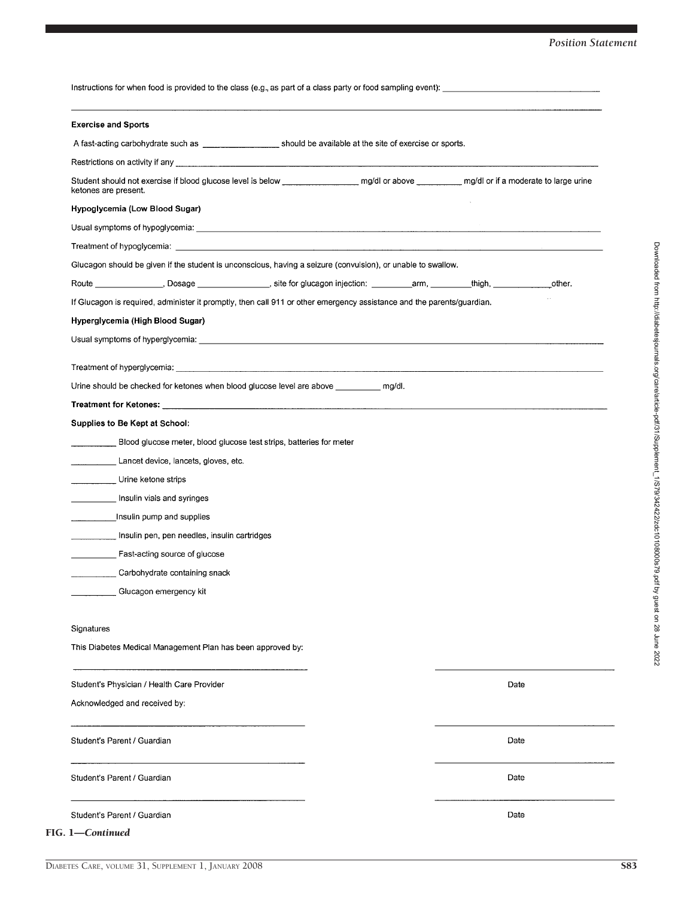Instructions for when food is provided to the class (e.g., as part of a class party or food sampling event): \_

| <b>Exercise and Sports</b>                                                                                                                                                                                                           |      |
|--------------------------------------------------------------------------------------------------------------------------------------------------------------------------------------------------------------------------------------|------|
| A fast-acting carbohydrate such as _______________________ should be available at the site of exercise or sports.                                                                                                                    |      |
|                                                                                                                                                                                                                                      |      |
| ketones are present.                                                                                                                                                                                                                 |      |
| Hypoglycemia (Low Blood Sugar)                                                                                                                                                                                                       |      |
| Usual symptoms of hypoglycemia: the contract of the contract of the contract of the contract of the contract of                                                                                                                      |      |
|                                                                                                                                                                                                                                      |      |
| Glucagon should be given if the student is unconscious, having a seizure (convulsion), or unable to swallow.                                                                                                                         |      |
| Route ________________, Dosage ________________, site for glucagon injection: __________arm, _________thigh, _______________other.                                                                                                   |      |
| If Glucagon is required, administer it promptly, then call 911 or other emergency assistance and the parents/guardian.                                                                                                               |      |
| Hyperglycemia (High Blood Sugar)                                                                                                                                                                                                     |      |
|                                                                                                                                                                                                                                      |      |
|                                                                                                                                                                                                                                      |      |
| Urine should be checked for ketones when blood glucose level are above mg/dl.                                                                                                                                                        |      |
| <b>Treatment for Ketones: All and Security Control of the Control of Control of Control of Control of Control of Control of Control of Control of Control of Control of Control of Control of Control of Control of Control of C</b> |      |
| Supplies to Be Kept at School:                                                                                                                                                                                                       |      |
| Blood glucose meter, blood glucose test strips, batteries for meter                                                                                                                                                                  |      |
| Lancet device, lancets, gloves, etc.                                                                                                                                                                                                 |      |
| Urine ketone strips                                                                                                                                                                                                                  |      |
| Insulin vials and syringes                                                                                                                                                                                                           |      |
| Insulin pump and supplies                                                                                                                                                                                                            |      |
| Insulin pen, pen needles, insulin cartridges                                                                                                                                                                                         |      |
| Fast-acting source of glucose                                                                                                                                                                                                        |      |
| Carbohydrate containing snack                                                                                                                                                                                                        |      |
| Glucagon emergency kit                                                                                                                                                                                                               |      |
| Signatures                                                                                                                                                                                                                           |      |
| This Diabetes Medical Management Plan has been approved by:                                                                                                                                                                          |      |
|                                                                                                                                                                                                                                      |      |
| Student's Physician / Health Care Provider                                                                                                                                                                                           | Date |
| Acknowledged and received by:                                                                                                                                                                                                        |      |
| Student's Parent / Guardian                                                                                                                                                                                                          | Date |
| Student's Parent / Guardian                                                                                                                                                                                                          | Date |
|                                                                                                                                                                                                                                      |      |
| Student's Parent / Guardian                                                                                                                                                                                                          | Date |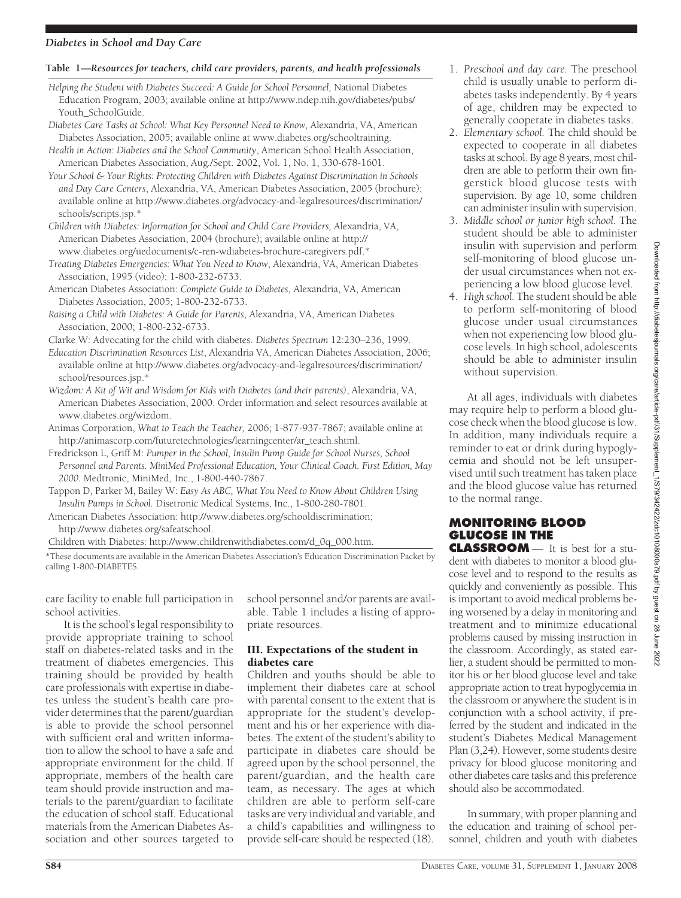### **Table 1—***Resources for teachers, child care providers, parents, and health professionals*

*Helping the Student with Diabetes Succeed: A Guide for School Personnel,* National Diabetes Education Program, 2003; available online at http://www.ndep.nih.gov/diabetes/pubs/ Youth\_SchoolGuide.

*Diabetes Care Tasks at School: What Key Personnel Need to Know,* Alexandria, VA, American Diabetes Association, 2005; available online at www.diabetes.org/schooltraining.

*Health in Action: Diabetes and the School Community*, American School Health Association, American Diabetes Association, Aug./Sept. 2002, Vol. 1, No. 1, 330-678-1601.

*Your School & Your Rights: Protecting Children with Diabetes Against Discrimination in Schools and Day Care Centers*, Alexandria, VA, American Diabetes Association, 2005 (brochure); available online at http://www.diabetes.org/advocacy-and-legalresources/discrimination/ schools/scripts.jsp.\*

*Children with Diabetes: Information for School and Child Care Providers,* Alexandria, VA, American Diabetes Association, 2004 (brochure); available online at http:// www.diabetes.org/uedocuments/c-ren-wdiabetes-brochure-caregivers.pdf.\*

*Treating Diabetes Emergencies: What You Need to Know*, Alexandria, VA, American Diabetes Association, 1995 (video); 1-800-232-6733.

American Diabetes Association: *Complete Guide to Diabetes*, Alexandria, VA, American Diabetes Association, 2005; 1-800-232-6733.

*Raising a Child with Diabetes: A Guide for Parents*, Alexandria, VA, American Diabetes Association, 2000; 1-800-232-6733.

Clarke W: Advocating for the child with diabetes. *Diabetes Spectrum* 12:230–236, 1999.

*Education Discrimination Resources List*, Alexandria VA, American Diabetes Association, 2006; available online at http://www.diabetes.org/advocacy-and-legalresources/discrimination/ school/resources.jsp.\*

*Wizdom: A Kit of Wit and Wisdom for Kids with Diabetes (and their parents)*, Alexandria, VA, American Diabetes Association, 2000. Order information and select resources available at www.diabetes.org/wizdom.

- Animas Corporation, *What to Teach the Teacher,* 2006; 1-877-937-7867; available online at http://animascorp.com/futuretechnologies/learningcenter/ar\_teach.shtml.
- Fredrickson L, Griff M: *Pumper in the School, Insulin Pump Guide for School Nurses, School Personnel and Parents. MiniMed Professional Education, Your Clinical Coach. First Edition, May 2000.* Medtronic, MiniMed, Inc., 1-800-440-7867.
- Tappon D, Parker M, Bailey W: *Easy As ABC, What You Need to Know About Children Using Insulin Pumps in School.* Disetronic Medical Systems, Inc., 1-800-280-7801.

American Diabetes Association: http://www.diabetes.org/schooldiscrimination; http://www.diabetes.org/safeatschool.

Children with Diabetes: http://www.childrenwithdiabetes.com/d\_0q\_000.htm.

\*These documents are available in the American Diabetes Association's Education Discrimination Packet by calling 1-800-DIABETES.

care facility to enable full participation in school activities.

It is the school's legal responsibility to provide appropriate training to school staff on diabetes-related tasks and in the treatment of diabetes emergencies. This training should be provided by health care professionals with expertise in diabetes unless the student's health care provider determines that the parent/guardian is able to provide the school personnel with sufficient oral and written information to allow the school to have a safe and appropriate environment for the child. If appropriate, members of the health care team should provide instruction and materials to the parent/guardian to facilitate the education of school staff. Educational materials from the American Diabetes Association and other sources targeted to

school personnel and/or parents are available. Table 1 includes a listing of appropriate resources.

# III. Expectations of the student in diabetes care

Children and youths should be able to implement their diabetes care at school with parental consent to the extent that is appropriate for the student's development and his or her experience with diabetes. The extent of the student's ability to participate in diabetes care should be agreed upon by the school personnel, the parent/guardian, and the health care team, as necessary. The ages at which children are able to perform self-care tasks are very individual and variable, and a child's capabilities and willingness to provide self-care should be respected (18).

- 1. *Preschool and day care.* The preschool child is usually unable to perform diabetes tasks independently. By 4 years of age, children may be expected to generally cooperate in diabetes tasks.
- 2. *Elementary school.* The child should be expected to cooperate in all diabetes tasks at school. By age 8 years, most children are able to perform their own fingerstick blood glucose tests with supervision. By age 10, some children can administer insulin with supervision.
- 3. *Middle school or junior high school.* The student should be able to administer insulin with supervision and perform self-monitoring of blood glucose under usual circumstances when not experiencing a low blood glucose level.
- 4. *High school.* The student should be able to perform self-monitoring of blood glucose under usual circumstances when not experiencing low blood glucose levels. In high school, adolescents should be able to administer insulin without supervision.

At all ages, individuals with diabetes may require help to perform a blood glucose check when the blood glucose is low. In addition, many individuals require a reminder to eat or drink during hypoglycemia and should not be left unsupervised until such treatment has taken place and the blood glucose value has returned to the normal range.

# **MONITORING BLOOD GLUCOSE IN THE**

**CLASSROOM** — It is best for a student with diabetes to monitor a blood glucose level and to respond to the results as quickly and conveniently as possible. This is important to avoid medical problems being worsened by a delay in monitoring and treatment and to minimize educational problems caused by missing instruction in the classroom. Accordingly, as stated earlier, a student should be permitted to monitor his or her blood glucose level and take appropriate action to treat hypoglycemia in the classroom or anywhere the student is in conjunction with a school activity, if preferred by the student and indicated in the student's Diabetes Medical Management Plan (3,24). However, some students desire privacy for blood glucose monitoring and other diabetes care tasks and this preference should also be accommodated.

In summary, with proper planning and the education and training of school personnel, children and youth with diabetes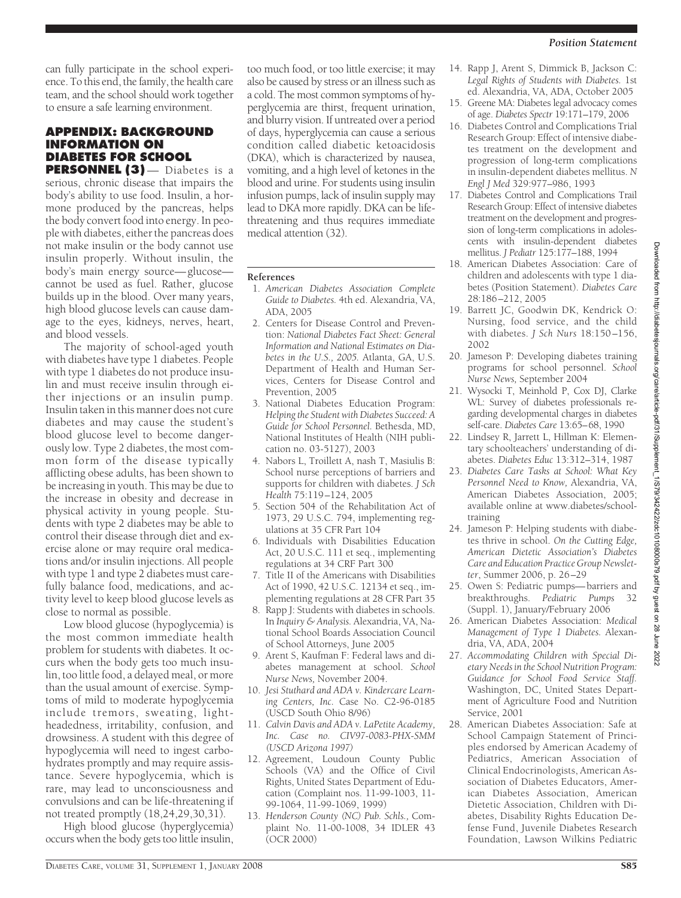can fully participate in the school experience. To this end, the family, the health care team, and the school should work together to ensure a safe learning environment.

## **APPENDIX: BACKGROUND INFORMATION ON DIABETES FOR SCHOOL PERSONNEL (3)** - Diabetes is a

serious, chronic disease that impairs the body's ability to use food. Insulin, a hormone produced by the pancreas, helps the body convert food into energy. In people with diabetes, either the pancreas does not make insulin or the body cannot use insulin properly. Without insulin, the body's main energy source—glucose cannot be used as fuel. Rather, glucose builds up in the blood. Over many years, high blood glucose levels can cause damage to the eyes, kidneys, nerves, heart, and blood vessels.

The majority of school-aged youth with diabetes have type 1 diabetes. People with type 1 diabetes do not produce insulin and must receive insulin through either injections or an insulin pump. Insulin taken in this manner does not cure diabetes and may cause the student's blood glucose level to become dangerously low. Type 2 diabetes, the most common form of the disease typically afflicting obese adults, has been shown to be increasing in youth. This may be due to the increase in obesity and decrease in physical activity in young people. Students with type 2 diabetes may be able to control their disease through diet and exercise alone or may require oral medications and/or insulin injections. All people with type 1 and type 2 diabetes must carefully balance food, medications, and activity level to keep blood glucose levels as close to normal as possible.

Low blood glucose (hypoglycemia) is the most common immediate health problem for students with diabetes. It occurs when the body gets too much insulin, too little food, a delayed meal, or more than the usual amount of exercise. Symptoms of mild to moderate hypoglycemia include tremors, sweating, lightheadedness, irritability, confusion, and drowsiness. A student with this degree of hypoglycemia will need to ingest carbohydrates promptly and may require assistance. Severe hypoglycemia, which is rare, may lead to unconsciousness and convulsions and can be life-threatening if not treated promptly (18,24,29,30,31).

High blood glucose (hyperglycemia) occurs when the body gets too little insulin,

too much food, or too little exercise; it may also be caused by stress or an illness such as a cold. The most common symptoms of hyperglycemia are thirst, frequent urination, and blurry vision. If untreated over a period of days, hyperglycemia can cause a serious condition called diabetic ketoacidosis (DKA), which is characterized by nausea, vomiting, and a high level of ketones in the blood and urine. For students using insulin infusion pumps, lack of insulin supply may lead to DKA more rapidly. DKA can be lifethreatening and thus requires immediate medical attention (32).

## **References**

- 1. *American Diabetes Association Complete Guide to Diabetes.* 4th ed. Alexandria, VA, ADA, 2005
- 2. Centers for Disease Control and Prevention: *National Diabetes Fact Sheet: General Information and National Estimates on Diabetes in the U.S., 2005.* Atlanta, GA, U.S. Department of Health and Human Services, Centers for Disease Control and Prevention, 2005
- 3. National Diabetes Education Program: *Helping the Student with Diabetes Succeed: A Guide for School Personnel.* Bethesda, MD, National Institutes of Health (NIH publication no. 03-5127), 2003
- 4. Nabors L, Troillett A, nash T, Masiulis B: School nurse perceptions of barriers and supports for children with diabetes. *J Sch Health* 75:119–124, 2005
- 5. Section 504 of the Rehabilitation Act of 1973, 29 U.S.C. 794, implementing regulations at 35 CFR Part 104
- 6. Individuals with Disabilities Education Act, 20 U.S.C. 111 et seq., implementing regulations at 34 CRF Part 300
- 7. Title II of the Americans with Disabilities Act of 1990, 42 U.S.C. 12134 et seq., implementing regulations at 28 CFR Part 35
- 8. Rapp J: Students with diabetes in schools. In *Inquiry & Analysis.* Alexandria, VA, National School Boards Association Council of School Attorneys, June 2005
- 9. Arent S, Kaufman F: Federal laws and diabetes management at school. *School Nurse News,* November 2004.
- 10. *Jesi Stuthard and ADA v. Kindercare Learning Centers, Inc.* Case No. C2-96-0185 (USCD South Ohio 8/96)
- 11. *Calvin Davis and ADA v. LaPetite Academy, Inc. Case no. CIV97-0083-PHX-SMM (USCD Arizona 1997)*
- 12. Agreement, Loudoun County Public Schools (VA) and the Office of Civil Rights, United States Department of Education (Complaint nos. 11-99-1003, 11- 99-1064, 11-99-1069, 1999)
- 13. *Henderson County (NC) Pub. Schls.,* Complaint No. 11-00-1008, 34 IDLER 43 (OCR 2000)
- 14. Rapp J, Arent S, Dimmick B, Jackson C: *Legal Rights of Students with Diabetes.* 1st ed. Alexandria, VA, ADA, October 2005
- 15. Greene MA: Diabetes legal advocacy comes of age. *Diabetes Spectr* 19:171–179, 2006
- 16. Diabetes Control and Complications Trial Research Group: Effect of intensive diabetes treatment on the development and progression of long-term complications in insulin-dependent diabetes mellitus. *N Engl J Med* 329:977–986, 1993
- 17. Diabetes Control and Complications Trail Research Group: Effect of intensive diabetes treatment on the development and progression of long-term complications in adolescents with insulin-dependent diabetes mellitus. *J Pediatr* 125:177–188, 1994
- 18. American Diabetes Association: Care of children and adolescents with type 1 diabetes (Position Statement). *Diabetes Care* 28:186–212, 2005
- 19. Barrett JC, Goodwin DK, Kendrick O: Nursing, food service, and the child with diabetes. *J Sch Nurs* 18:150–156, 2002
- 20. Jameson P: Developing diabetes training programs for school personnel. *School Nurse News,* September 2004
- 21. Wysocki T, Meinhold P, Cox DJ, Clarke WL: Survey of diabetes professionals regarding developmental charges in diabetes self-care. *Diabetes Care* 13:65–68, 1990
- 22. Lindsey R, Jarrett L, Hillman K: Elementary schoolteachers' understanding of diabetes. *Diabetes Educ* 13:312–314, 1987
- 23. *Diabetes Care Tasks at School: What Key Personnel Need to Know,* Alexandria, VA, American Diabetes Association, 2005; available online at www.diabetes/schooltraining
- 24. Jameson P: Helping students with diabetes thrive in school. *On the Cutting Edge, American Dietetic Association's Diabetes Care and Education Practice Group Newsletter*, Summer 2006, p. 26–29
- 25. Owen S: Pediatric pumps—barriers and breakthroughs. *Pediatric Pumps* 32 (Suppl. 1), January/February 2006
- 26. American Diabetes Association: *Medical Management of Type 1 Diabetes.* Alexandria, VA, ADA, 2004
- 27. *Accommodating Children with Special Dietary Needs in the School Nutrition Program: Guidance for School Food Service Staff.* Washington, DC, United States Department of Agriculture Food and Nutrition Service, 2001
- 28. American Diabetes Association: Safe at School Campaign Statement of Principles endorsed by American Academy of Pediatrics, American Association of Clinical Endocrinologists, American Association of Diabetes Educators, American Diabetes Association, American Dietetic Association, Children with Diabetes, Disability Rights Education Defense Fund, Juvenile Diabetes Research Foundation, Lawson Wilkins Pediatric